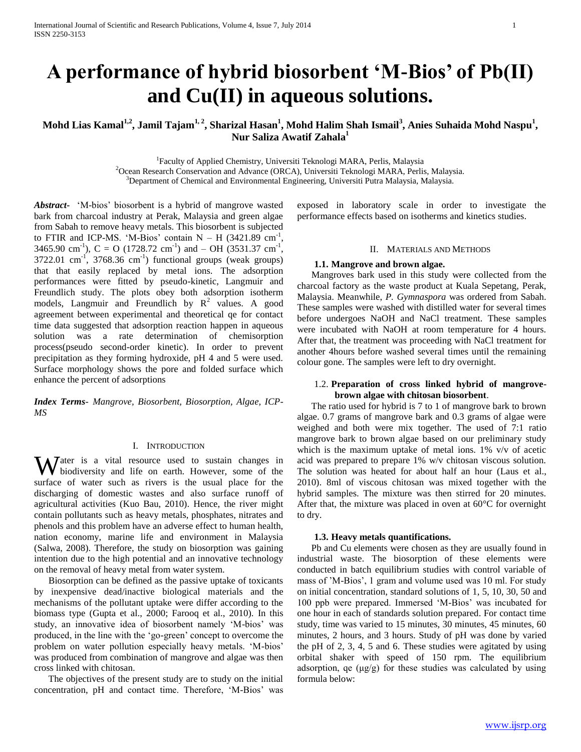# **A performance of hybrid biosorbent 'M-Bios' of Pb(II) and Cu(II) in aqueous solutions.**

**Mohd Lias Kamal1,2, Jamil Tajam1, 2, Sharizal Hasan<sup>1</sup> , Mohd Halim Shah Ismail<sup>3</sup> , Anies Suhaida Mohd Naspu<sup>1</sup> , Nur Saliza Awatif Zahala<sup>1</sup>**

<sup>1</sup>Faculty of Applied Chemistry, Universiti Teknologi MARA, Perlis, Malaysia

<sup>2</sup>Ocean Research Conservation and Advance (ORCA), Universiti Teknologi MARA, Perlis, Malaysia. <sup>3</sup>Department of Chemical and Environmental Engineering, Universiti Putra Malaysia, Malaysia.

*Abstract***-** 'M-bios' biosorbent is a hybrid of mangrove wasted bark from charcoal industry at Perak, Malaysia and green algae from Sabah to remove heavy metals. This biosorbent is subjected to FTIR and ICP-MS. 'M-Bios' contain  $N - H$  (3421.89 cm<sup>-1</sup>, 3465.90 cm<sup>-1</sup>), C = O (1728.72 cm<sup>-1</sup>) and – OH (3531.37 cm<sup>-1</sup>,  $3722.01$  cm<sup>-1</sup>,  $3768.36$  cm<sup>-1</sup>) functional groups (weak groups) that that easily replaced by metal ions. The adsorption performances were fitted by pseudo-kinetic, Langmuir and Freundlich study. The plots obey both adsorption isotherm models, Langmuir and Freundlich by  $R^2$  values. A good agreement between experimental and theoretical qe for contact time data suggested that adsorption reaction happen in aqueous solution was a rate determination of chemisorption process(pseudo second-order kinetic). In order to prevent precipitation as they forming hydroxide, pH 4 and 5 were used. Surface morphology shows the pore and folded surface which enhance the percent of adsorptions

*Index Terms*- *Mangrove, Biosorbent, Biosorption, Algae, ICP-MS*

## I. INTRODUCTION

Water is a vital resource used to sustain changes in biodiversity and life on earth. However, some of the biodiversity and life on earth. However, some of the surface of water such as rivers is the usual place for the discharging of domestic wastes and also surface runoff of agricultural activities (Kuo Bau, 2010). Hence, the river might contain pollutants such as heavy metals, phosphates, nitrates and phenols and this problem have an adverse effect to human health, nation economy, marine life and environment in Malaysia (Salwa, 2008). Therefore, the study on biosorption was gaining intention due to the high potential and an innovative technology on the removal of heavy metal from water system.

 Biosorption can be defined as the passive uptake of toxicants by inexpensive dead/inactive biological materials and the mechanisms of the pollutant uptake were differ according to the biomass type (Gupta et al., 2000; Farooq et al., 2010). In this study, an innovative idea of biosorbent namely 'M-bios' was produced, in the line with the 'go-green' concept to overcome the problem on water pollution especially heavy metals. 'M-bios' was produced from combination of mangrove and algae was then cross linked with chitosan.

 The objectives of the present study are to study on the initial concentration, pH and contact time. Therefore, 'M-Bios' was exposed in laboratory scale in order to investigate the performance effects based on isotherms and kinetics studies.

#### II. MATERIALS AND METHODS

# **1.1. Mangrove and brown algae.**

 Mangroves bark used in this study were collected from the charcoal factory as the waste product at Kuala Sepetang, Perak, Malaysia. Meanwhile, *P. Gymnaspora* was ordered from Sabah. These samples were washed with distilled water for several times before undergoes NaOH and NaCl treatment. These samples were incubated with NaOH at room temperature for 4 hours. After that, the treatment was proceeding with NaCl treatment for another 4hours before washed several times until the remaining colour gone. The samples were left to dry overnight.

# 1.2. **Preparation of cross linked hybrid of mangrovebrown algae with chitosan biosorbent**.

 The ratio used for hybrid is 7 to 1 of mangrove bark to brown algae. 0.7 grams of mangrove bark and 0.3 grams of algae were weighed and both were mix together. The used of 7:1 ratio mangrove bark to brown algae based on our preliminary study which is the maximum uptake of metal ions. 1% v/v of acetic acid was prepared to prepare 1% w/v chitosan viscous solution. The solution was heated for about half an hour (Laus et al., 2010). 8ml of viscous chitosan was mixed together with the hybrid samples. The mixture was then stirred for 20 minutes. After that, the mixture was placed in oven at  $60^{\circ}$ C for overnight to dry.

#### **1.3. Heavy metals quantifications.**

 Pb and Cu elements were chosen as they are usually found in industrial waste. The biosorption of these elements were conducted in batch equilibrium studies with control variable of mass of 'M-Bios', 1 gram and volume used was 10 ml. For study on initial concentration, standard solutions of 1, 5, 10, 30, 50 and 100 ppb were prepared. Immersed 'M-Bios' was incubated for one hour in each of standards solution prepared. For contact time study, time was varied to 15 minutes, 30 minutes, 45 minutes, 60 minutes, 2 hours, and 3 hours. Study of pH was done by varied the pH of 2, 3, 4, 5 and 6. These studies were agitated by using orbital shaker with speed of 150 rpm. The equilibrium adsorption, qe (μg/g) for these studies was calculated by using formula below: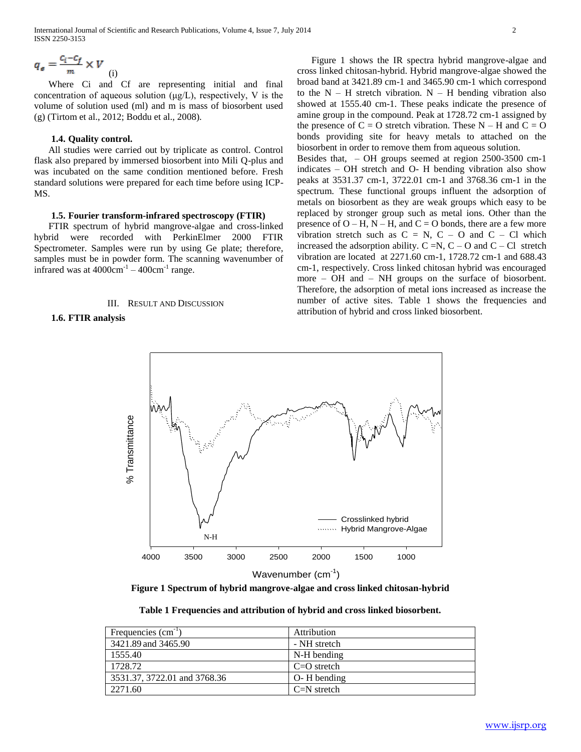$$
q_e = \frac{c_i - c_f}{m} \times V
$$
 (i)

 Where Ci and Cf are representing initial and final concentration of aqueous solution (μg/L), respectively, V is the volume of solution used (ml) and m is mass of biosorbent used (g) (Tirtom et al., 2012; Boddu et al., 2008).

# **1.4. Quality control.**

 All studies were carried out by triplicate as control. Control flask also prepared by immersed biosorbent into Mili Q-plus and was incubated on the same condition mentioned before. Fresh standard solutions were prepared for each time before using ICP-MS.

#### **1.5. Fourier transform-infrared spectroscopy (FTIR)**

 FTIR spectrum of hybrid mangrove-algae and cross-linked hybrid were recorded with PerkinElmer 2000 FTIR Spectrometer. Samples were run by using Ge plate; therefore, samples must be in powder form. The scanning wavenumber of infrared was at  $4000 \text{cm}^{-1} - 400 \text{cm}^{-1}$  range.

#### III. RESULT AND DISCUSSION

# **1.6. FTIR analysis**

 Figure 1 shows the IR spectra hybrid mangrove-algae and cross linked chitosan-hybrid. Hybrid mangrove-algae showed the broad band at 3421.89 cm-1 and 3465.90 cm-1 which correspond to the  $N - H$  stretch vibration.  $N - H$  bending vibration also showed at 1555.40 cm-1. These peaks indicate the presence of amine group in the compound. Peak at 1728.72 cm-1 assigned by the presence of  $C = O$  stretch vibration. These  $N - H$  and  $C = O$ bonds providing site for heavy metals to attached on the biosorbent in order to remove them from aqueous solution. Besides that, – OH groups seemed at region 2500-3500 cm-1 indicates – OH stretch and O- H bending vibration also show peaks at 3531.37 cm-1, 3722.01 cm-1 and 3768.36 cm-1 in the spectrum. These functional groups influent the adsorption of metals on biosorbent as they are weak groups which easy to be replaced by stronger group such as metal ions. Other than the presence of  $O - H$ ,  $N - H$ , and  $C = O$  bonds, there are a few more vibration stretch such as  $C = N$ ,  $C - O$  and  $C - Cl$  which increased the adsorption ability.  $C = N$ ,  $C - O$  and  $C - Cl$  stretch vibration are located at 2271.60 cm-1, 1728.72 cm-1 and 688.43 cm-1, respectively. Cross linked chitosan hybrid was encouraged more – OH and – NH groups on the surface of biosorbent. Therefore, the adsorption of metal ions increased as increase the number of active sites. Table 1 shows the frequencies and

attribution of hybrid and cross linked biosorbent.



**Figure 1 Spectrum of hybrid mangrove-algae and cross linked chitosan-hybrid**

**Table 1 Frequencies and attribution of hybrid and cross linked biosorbent.**

| Frequencies (cm <sup>-1</sup> ) | Attribution     |
|---------------------------------|-----------------|
| 3421.89 and 3465.90             | - NH stretch    |
| 1555.40                         | N-H bending     |
| 1728.72                         | $C=O$ stretch   |
| 3531.37, 3722.01 and 3768.36    | $O - H$ bending |
| 2271.60                         | $C=N$ stretch   |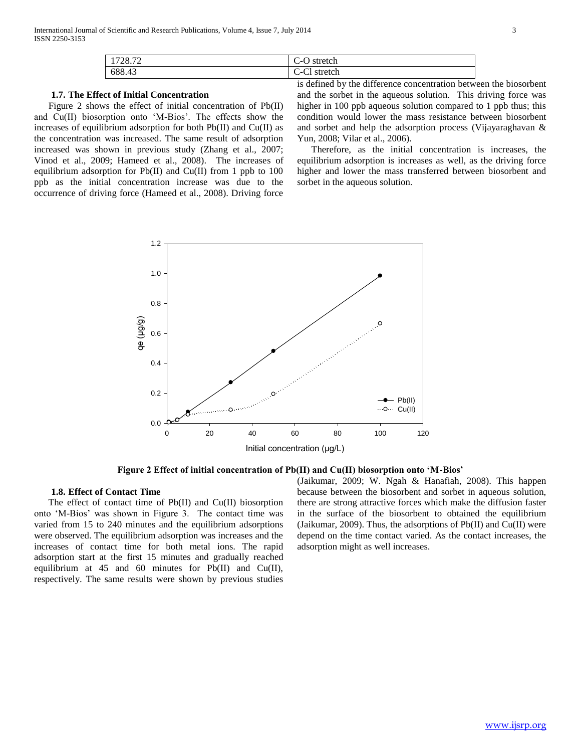| 728.72 | $\sim$<br>$\sim$<br>stretch<br>--<br>Š<br>◡ |
|--------|---------------------------------------------|
| 688.43 | $\sim$<br>$\sim$<br>stretch<br>U-UI         |

# **1.7. The Effect of Initial Concentration**

 Figure 2 shows the effect of initial concentration of Pb(II) and Cu(II) biosorption onto 'M-Bios'. The effects show the increases of equilibrium adsorption for both  $Pb(II)$  and  $Cu(II)$  as the concentration was increased. The same result of adsorption increased was shown in previous study (Zhang et al., 2007; Vinod et al., 2009; Hameed et al., 2008). The increases of equilibrium adsorption for Pb(II) and Cu(II) from 1 ppb to 100 ppb as the initial concentration increase was due to the occurrence of driving force (Hameed et al., 2008). Driving force

is defined by the difference concentration between the biosorbent and the sorbet in the aqueous solution. This driving force was higher in 100 ppb aqueous solution compared to 1 ppb thus; this condition would lower the mass resistance between biosorbent and sorbet and help the adsorption process (Vijayaraghavan & Yun, 2008; Vilar et al., 2006).

 Therefore, as the initial concentration is increases, the equilibrium adsorption is increases as well, as the driving force higher and lower the mass transferred between biosorbent and sorbet in the aqueous solution.



**Figure 2 Effect of initial concentration of Pb(II) and Cu(II) biosorption onto 'M-Bios'**

## **1.8. Effect of Contact Time**

 The effect of contact time of Pb(II) and Cu(II) biosorption onto 'M-Bios' was shown in Figure 3. The contact time was varied from 15 to 240 minutes and the equilibrium adsorptions were observed. The equilibrium adsorption was increases and the increases of contact time for both metal ions. The rapid adsorption start at the first 15 minutes and gradually reached equilibrium at 45 and 60 minutes for  $Pb(II)$  and  $Cu(II)$ , respectively. The same results were shown by previous studies

(Jaikumar, 2009; W. Ngah & Hanafiah, 2008). This happen because between the biosorbent and sorbet in aqueous solution, there are strong attractive forces which make the diffusion faster in the surface of the biosorbent to obtained the equilibrium (Jaikumar, 2009). Thus, the adsorptions of Pb(II) and Cu(II) were depend on the time contact varied. As the contact increases, the adsorption might as well increases.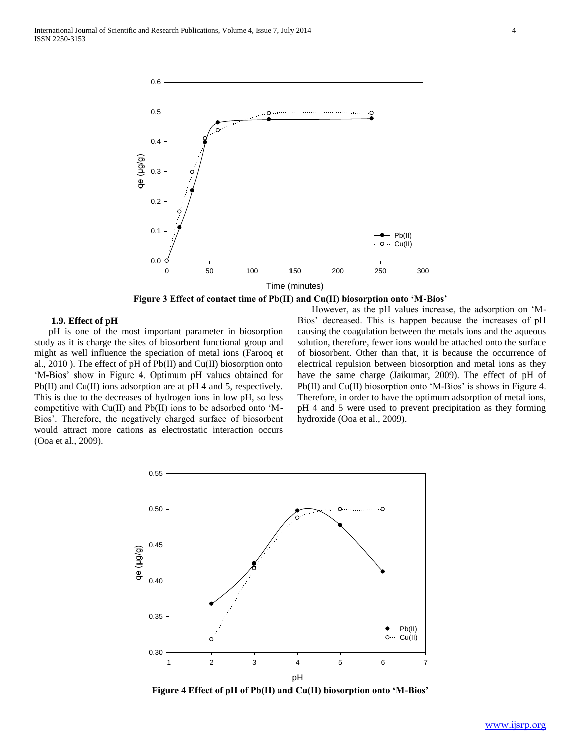

**Figure 3 Effect of contact time of Pb(II) and Cu(II) biosorption onto 'M-Bios'**

# **1.9. Effect of pH**

 pH is one of the most important parameter in biosorption study as it is charge the sites of biosorbent functional group and might as well influence the speciation of metal ions (Farooq et al., 2010 ). The effect of pH of Pb(II) and Cu(II) biosorption onto 'M-Bios' show in Figure 4. Optimum pH values obtained for Pb(II) and Cu(II) ions adsorption are at pH 4 and 5, respectively. This is due to the decreases of hydrogen ions in low pH, so less competitive with Cu(II) and Pb(II) ions to be adsorbed onto 'M-Bios'. Therefore, the negatively charged surface of biosorbent would attract more cations as electrostatic interaction occurs (Ooa et al., 2009).

 However, as the pH values increase, the adsorption on 'M-Bios' decreased. This is happen because the increases of pH causing the coagulation between the metals ions and the aqueous solution, therefore, fewer ions would be attached onto the surface of biosorbent. Other than that, it is because the occurrence of electrical repulsion between biosorption and metal ions as they have the same charge (Jaikumar, 2009). The effect of pH of Pb(II) and Cu(II) biosorption onto 'M-Bios' is shows in Figure 4. Therefore, in order to have the optimum adsorption of metal ions, pH 4 and 5 were used to prevent precipitation as they forming hydroxide (Ooa et al., 2009).



**Figure 4 Effect of pH of Pb(II) and Cu(II) biosorption onto 'M-Bios'**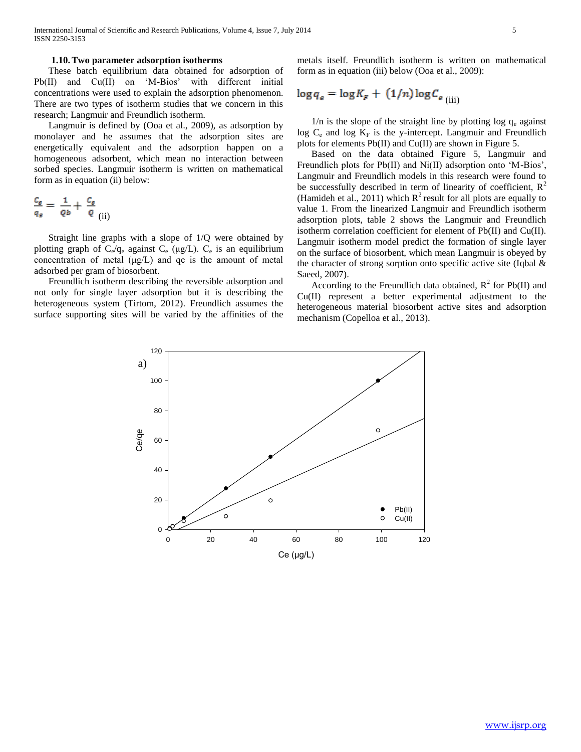#### **1.10.Two parameter adsorption isotherms**

 These batch equilibrium data obtained for adsorption of Pb(II) and Cu(II) on 'M-Bios' with different initial concentrations were used to explain the adsorption phenomenon. There are two types of isotherm studies that we concern in this research; Langmuir and Freundlich isotherm.

 Langmuir is defined by (Ooa et al., 2009), as adsorption by monolayer and he assumes that the adsorption sites are energetically equivalent and the adsorption happen on a homogeneous adsorbent, which mean no interaction between sorbed species. Langmuir isotherm is written on mathematical form as in equation (ii) below:

$$
\frac{c_e}{q_e} = \frac{1}{\varrho_b} + \frac{c_e}{\varrho_{(ii)}}
$$

 Straight line graphs with a slope of 1/Q were obtained by plotting graph of  $C_e/q_e$  against  $C_e$  ( $\mu$ g/L).  $C_e$  is an equilibrium concentration of metal (μg/L) and qe is the amount of metal adsorbed per gram of biosorbent.

 Freundlich isotherm describing the reversible adsorption and not only for single layer adsorption but it is describing the heterogeneous system (Tirtom, 2012). Freundlich assumes the surface supporting sites will be varied by the affinities of the metals itself. Freundlich isotherm is written on mathematical form as in equation (iii) below (Ooa et al., 2009):

$$
\log q_e = \log K_F + (1/n) \log C_{e(iii)}
$$

 $1/n$  is the slope of the straight line by plotting log  $q_e$  against log  $C_e$  and log  $K_F$  is the y-intercept. Langmuir and Freundlich plots for elements Pb(II) and Cu(II) are shown in Figure 5.

 Based on the data obtained Figure 5, Langmuir and Freundlich plots for Pb(II) and Ni(II) adsorption onto 'M-Bios', Langmuir and Freundlich models in this research were found to be successfully described in term of linearity of coefficient,  $R^2$ (Hamideh et al., 2011) which  $R^2$  result for all plots are equally to value 1. From the linearized Langmuir and Freundlich isotherm adsorption plots, table 2 shows the Langmuir and Freundlich isotherm correlation coefficient for element of Pb(II) and Cu(II). Langmuir isotherm model predict the formation of single layer on the surface of biosorbent, which mean Langmuir is obeyed by the character of strong sorption onto specific active site (Iqbal  $\&$ Saeed, 2007).

According to the Freundlich data obtained,  $R^2$  for Pb(II) and Cu(II) represent a better experimental adjustment to the heterogeneous material biosorbent active sites and adsorption mechanism (Copelloa et al., 2013).

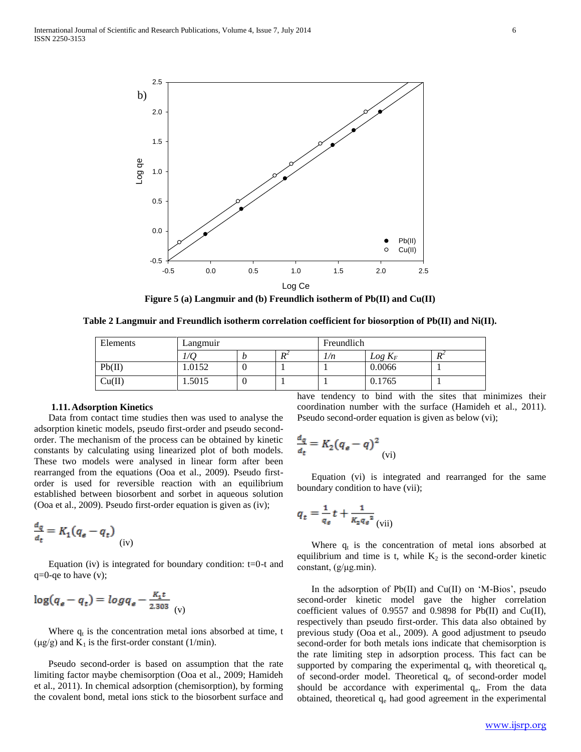

**Figure 5 (a) Langmuir and (b) Freundlich isotherm of Pb(II) and Cu(II)**

**Table 2 Langmuir and Freundlich isotherm correlation coefficient for biosorption of Pb(II) and Ni(II).**

| Elements | Langmuir |   | Freundlich        |     |           |                |
|----------|----------|---|-------------------|-----|-----------|----------------|
|          | 1/Q      | D | $R^2$<br>$\bf{v}$ | 1/n | $Log K_F$ | D <sup>2</sup> |
| Pb(II)   | 1.0152   | U |                   |     | 0.0066    |                |
| Cu(II)   | .5015    | U |                   |     | 0.1765    |                |

# **1.11. Adsorption Kinetics**

 Data from contact time studies then was used to analyse the adsorption kinetic models, pseudo first-order and pseudo secondorder. The mechanism of the process can be obtained by kinetic constants by calculating using linearized plot of both models. These two models were analysed in linear form after been rearranged from the equations (Ooa et al., 2009). Pseudo firstorder is used for reversible reaction with an equilibrium established between biosorbent and sorbet in aqueous solution (Ooa et al., 2009). Pseudo first-order equation is given as (iv);

$$
\frac{d_q}{d_t} = K_1(q_e - q_t) \tag{iv}
$$

Equation (iv) is integrated for boundary condition:  $t=0-t$  and  $q=0$ -qe to have  $(v)$ ;

$$
\log(q_e - q_t) = \log q_e - \frac{K_t t}{2.303}
$$

Where  $q_t$  is the concentration metal ions absorbed at time, t  $(\mu g/g)$  and  $K_1$  is the first-order constant (1/min).

 Pseudo second-order is based on assumption that the rate limiting factor maybe chemisorption (Ooa et al., 2009; Hamideh et al., 2011). In chemical adsorption (chemisorption), by forming the covalent bond, metal ions stick to the biosorbent surface and

have tendency to bind with the sites that minimizes their coordination number with the surface (Hamideh et al., 2011). Pseudo second-order equation is given as below (vi);

$$
\frac{a_q}{a_t} = K_2 (q_e - q)^2
$$
 (vi)

 Equation (vi) is integrated and rearranged for the same boundary condition to have (vii);

$$
q_t = \frac{1}{q_e}t + \frac{1}{K_2 q_e^2}
$$
(vii)

Where  $q_t$  is the concentration of metal ions absorbed at equilibrium and time is t, while  $K_2$  is the second-order kinetic constant, (g/μg.min).

In the adsorption of  $Pb(II)$  and  $Cu(II)$  on 'M-Bios', pseudo second-order kinetic model gave the higher correlation coefficient values of 0.9557 and 0.9898 for Pb(II) and Cu(II), respectively than pseudo first-order. This data also obtained by previous study (Ooa et al., 2009). A good adjustment to pseudo second-order for both metals ions indicate that chemisorption is the rate limiting step in adsorption process. This fact can be supported by comparing the experimental  $q_e$  with theoretical  $q_e$ of second-order model. Theoretical  $q_e$  of second-order model should be accordance with experimental  $q_e$ . From the data obtained, theoretical  $q_e$  had good agreement in the experimental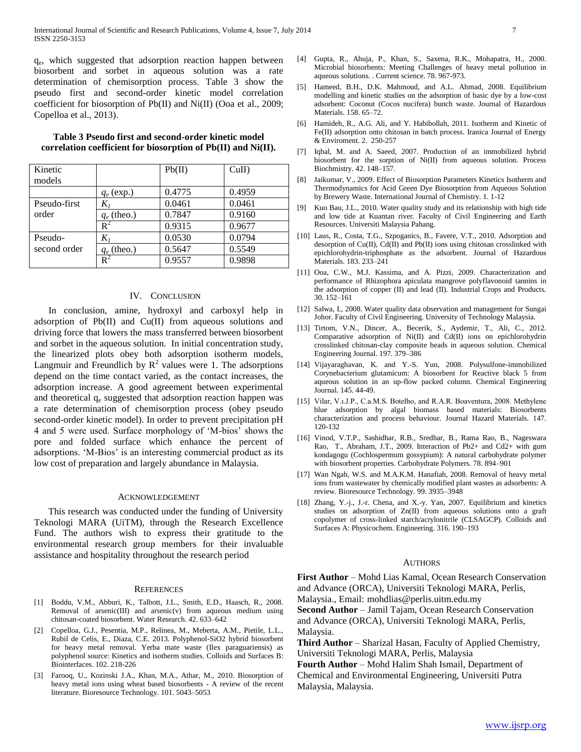qe , which suggested that adsorption reaction happen between biosorbent and sorbet in aqueous solution was a rate determination of chemisorption process. Table 3 show the pseudo first and second-order kinetic model correlation coefficient for biosorption of Pb(II) and Ni(II) (Ooa et al., 2009; Copelloa et al., 2013).

| Kinetic<br>models |                | Pb(II) | CuII   |
|-------------------|----------------|--------|--------|
|                   | $q_e$ (exp.)   | 0.4775 | 0.4959 |
| Pseudo-first      | $K_I$          | 0.0461 | 0.0461 |
| order             | $q_e$ (theo.)  | 0.7847 | 0.9160 |
|                   | $\rm R^2$      | 0.9315 | 0.9677 |
| Pseudo-           | $K_I$          | 0.0530 | 0.0794 |
| second order      | $q_e$ (theo.)  | 0.5647 | 0.5549 |
|                   | $\mathbf{R}^2$ | 0.9557 | 0.9898 |

#### **Table 3 Pseudo first and second-order kinetic model correlation coefficient for biosorption of Pb(II) and Ni(II).**

## IV. CONCLUSION

 In conclusion, amine, hydroxyl and carboxyl help in adsorption of Pb(II) and Cu(II) from aqueous solutions and driving force that lowers the mass transferred between biosorbent and sorbet in the aqueous solution. In initial concentration study, the linearized plots obey both adsorption isotherm models, Langmuir and Freundlich by  $R^2$  values were 1. The adsorptions depend on the time contact varied, as the contact increases, the adsorption increase. A good agreement between experimental and theoretical  $q_e$  suggested that adsorption reaction happen was a rate determination of chemisorption process (obey pseudo second-order kinetic model). In order to prevent precipitation pH 4 and 5 were used. Surface morphology of 'M-bios' shows the pore and folded surface which enhance the percent of adsorptions. 'M-Bios' is an interesting commercial product as its low cost of preparation and largely abundance in Malaysia.

#### ACKNOWLEDGEMENT

 This research was conducted under the funding of University Teknologi MARA (UiTM), through the Research Excellence Fund. The authors wish to express their gratitude to the environmental research group members for their invaluable assistance and hospitality throughout the research period

#### **REFERENCES**

- [1] Boddu, V.M., Abburi, K., Talbott, J.L., Smith, E.D., Haasch, R., 2008. Removal of arsenic(III) and arsenic(v) from aqueous medium using chitosan-coated biosorbent. Water Research. 42. 633–642
- Copelloa, G.J., Pesentia, M.P., Relinea, M., Meberta, A.M., Pietile, L.L., Rubil de Celis, E., Diaza, C.E. 2013. Polyphenol-SiO2 hybrid biosorbent for heavy metal removal. Yerba mate waste (Ilex paraguariensis) as polyphenol source: Kinetics and isotherm studies. Colloids and Surfaces B: Biointerfaces. 102. 218-226
- [3] Farooq, U., Kozinski J.A., Khan, M.A., Athar, M., 2010. Biosorption of heavy metal ions using wheat based biosorbents - A review of the recent literature. Bioresource Technology. 101. 5043–5053
- [4] Gupta, R., Ahuja, P., Khan, S., Saxena, R.K., Mohapatra, H., 2000. Microbial biosorbents: Meeting Challenges of heavy metal pollution in aqueous solutions. . Current science. 78. 967-973.
- [5] Hameed, B.H., D.K. Mahmoud, and A.L. Ahmad, 2008. Equilibrium modelling and kinetic studies on the adsorption of basic dye by a low-cost adsorbent: Coconut (Cocos nucifera) bunch waste. Journal of Hazardous Materials. 158. 65–72.
- [6] Hamideh, R., A.G. Ali, and Y. Habibollah, 2011. Isotherm and Kinetic of Fe(II) adsorption onto chitosan in batch process. Iranica Journal of Energy & Enviroment. 2. 250-257
- [7] Iqbal, M. and A. Saeed, 2007. Production of an immobilized hybrid biosorbent for the sorption of Ni(II) from aqueous solution. Process Biochmistry. 42. 148–157.
- [8] Jaikumar, V., 2009. Effect of Biosorption Parameters Kinetics Isotherm and Thermodynamics for Acid Green Dye Biosorption from Aqueous Solution by Brewery Waste. International Journal of Chemistry. 1. 1-12
- [9] Kuo Bau, J.L., 2010. Water quality study and its relationship with high tide and low tide at Kuantan river. Faculty of Civil Engineering and Earth Resources. Universiti Malaysia Pahang.
- [10] Laus, R., Costa, T.G., Szpoganics, B., Favere, V.T., 2010. Adsorption and desorption of Cu(II), Cd(II) and Pb(II) ions using chitosan crosslinked with epichlorohydrin-triphosphate as the adsorbent. Journal of Hazardous Materials. 183. 233–241
- [11] Ooa, C.W., M.J. Kassima, and A. Pizzi, 2009. Characterization and performance of Rhizophora apiculata mangrove polyflavonoid tannins in the adsorption of copper (II) and lead (II). Industrial Crops and Products. 30. 152–161
- [12] Salwa, I., 2008. Water quality data observation and management for Sungai Johor. Faculty of Civil Engineering. University of Technology Malaysia.
- [13] Tirtom, V.N., Dincer, A., Becerik, S., Aydemir, T., Ali, C., 2012. Comparative adsorption of Ni(II) and Cd(II) ions on epichlorohydrin crosslinked chitosan-clay composite beads in aqueous solution. Chemical Engineering Journal. 197. 379–386
- [14] Vijayaraghavan, K. and Y.-S. Yun, 2008. Polysulfone-immobilized Corynebacterium glutamicum: A biosorbent for Reactive black 5 from aqueous solution in an up-flow packed column. Chemical Engineering Journal. 145. 44-49.
- [15] Vilar, V.i.J.P., C.a.M.S. Botelho, and R.A.R. Boaventura, 2008. Methylene blue adsorption by algal biomass based materials: Biosorbents characterization and process behaviour. Journal Hazard Materials. 147. 120-132
- [16] Vinod, V.T.P., Sashidhar, R.B., Sredhar, B., Rama Rao, B., Nageswara Rao, T., Abraham, J.T., 2009. Interaction of Pb2+ and Cd2+ with gum kondagogu (Cochlospermum gossypium): A natural carbohydrate polymer with biosorbent properties. Carbohydrate Polymers. 78. 894–901
- [17] Wan Ngah, W.S. and M.A.K.M. Hanafiah, 2008. Removal of heavy metal ions from wastewater by chemically modified plant wastes as adsorbents: A review. Bioresource Technology. 99. 3935–3948
- [18] Zhang, Y.-j., J.-r. Chena, and X.-y. Yan, 2007. Equilibrium and kinetics studies on adsorption of Zn(II) from aqueous solutions onto a graft copolymer of cross-linked starch/acrylonitrile (CLSAGCP). Colloids and Surfaces A: Physicochem. Engineering. 316. 190–193

#### **AUTHORS**

**First Author** – Mohd Lias Kamal, Ocean Research Conservation and Advance (ORCA), Universiti Teknologi MARA, Perlis, Malaysia., Email: mohdlias@perlis.uitm.edu.my **Second Author** – Jamil Tajam, Ocean Research Conservation

and Advance (ORCA), Universiti Teknologi MARA, Perlis, Malaysia.

**Third Author** – Sharizal Hasan, Faculty of Applied Chemistry, Universiti Teknologi MARA, Perlis, Malaysia

**Fourth Author** – Mohd Halim Shah Ismail, Department of Chemical and Environmental Engineering, Universiti Putra Malaysia, Malaysia.